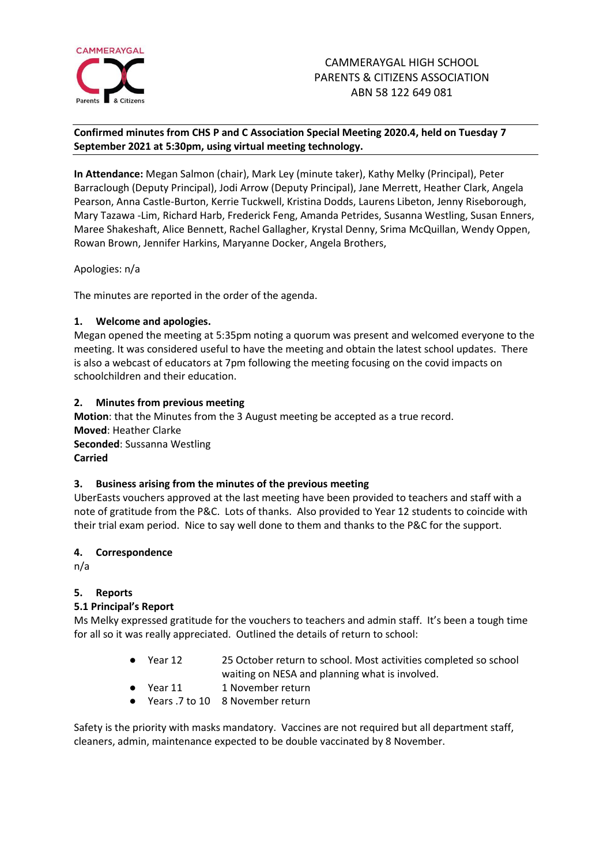

# **Confirmed minutes from CHS P and C Association Special Meeting 2020.4, held on Tuesday 7 September 2021 at 5:30pm, using virtual meeting technology.**

**In Attendance:** Megan Salmon (chair), Mark Ley (minute taker), Kathy Melky (Principal), Peter Barraclough (Deputy Principal), Jodi Arrow (Deputy Principal), Jane Merrett, Heather Clark, Angela Pearson, Anna Castle-Burton, Kerrie Tuckwell, Kristina Dodds, Laurens Libeton, Jenny Riseborough, Mary Tazawa -Lim, Richard Harb, Frederick Feng, Amanda Petrides, Susanna Westling, Susan Enners, Maree Shakeshaft, Alice Bennett, Rachel Gallagher, Krystal Denny, Srima McQuillan, Wendy Oppen, Rowan Brown, Jennifer Harkins, Maryanne Docker, Angela Brothers,

Apologies: n/a

The minutes are reported in the order of the agenda.

## **1. Welcome and apologies.**

Megan opened the meeting at 5:35pm noting a quorum was present and welcomed everyone to the meeting. It was considered useful to have the meeting and obtain the latest school updates. There is also a webcast of educators at 7pm following the meeting focusing on the covid impacts on schoolchildren and their education.

## **2. Minutes from previous meeting**

**Motion**: that the Minutes from the 3 August meeting be accepted as a true record. **Moved**: Heather Clarke **Seconded**: Sussanna Westling **Carried**

#### **3. Business arising from the minutes of the previous meeting**

UberEasts vouchers approved at the last meeting have been provided to teachers and staff with a note of gratitude from the P&C. Lots of thanks. Also provided to Year 12 students to coincide with their trial exam period. Nice to say well done to them and thanks to the P&C for the support.

#### **4. Correspondence**

n/a

# **5. Reports**

# **5.1 Principal's Report**

Ms Melky expressed gratitude for the vouchers to teachers and admin staff. It's been a tough time for all so it was really appreciated. Outlined the details of return to school:

- Year 12 25 October return to school. Most activities completed so school waiting on NESA and planning what is involved.
- Year 11 1 November return
- Years .7 to 10 8 November return

Safety is the priority with masks mandatory. Vaccines are not required but all department staff, cleaners, admin, maintenance expected to be double vaccinated by 8 November.